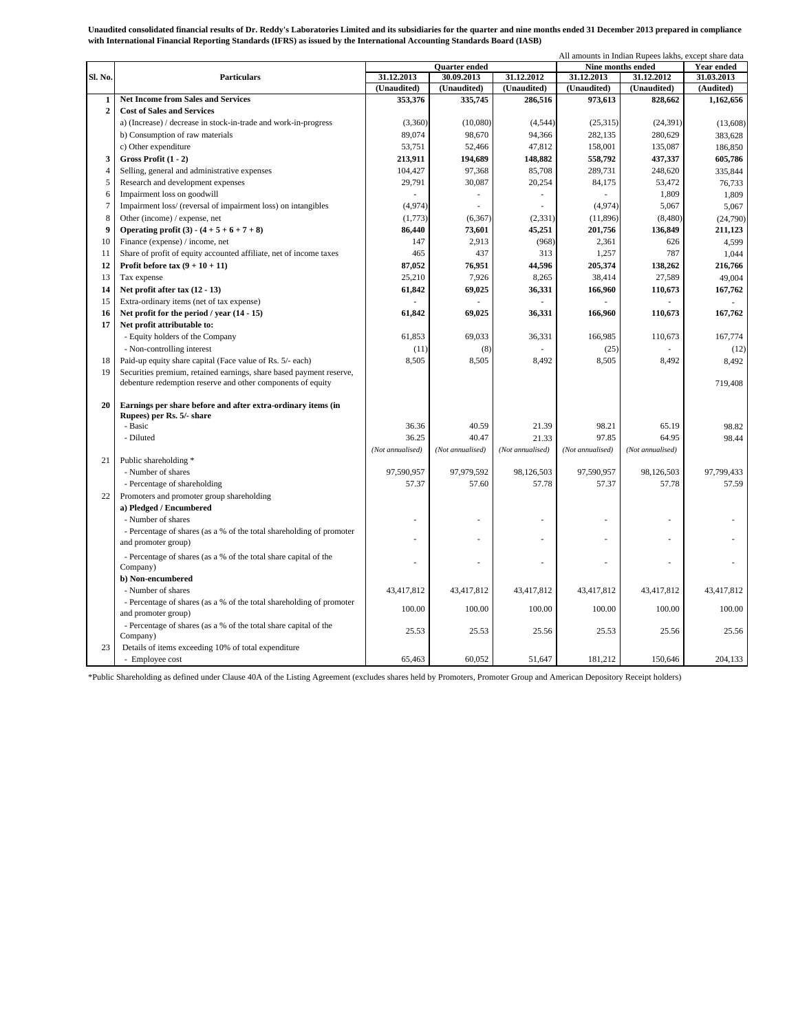**Unaudited consolidated financial results of Dr. Reddy's Laboratories Limited and its subsidiaries for the quarter and nine months ended 31 December 2013 prepared in compliance with International Financial Reporting Standards (IFRS) as issued by the International Accounting Standards Board (IASB)**

|                |                                                                      |                          |                  |                          |                   | All amounts in Indian Rupees lakhs, except share data |                   |  |
|----------------|----------------------------------------------------------------------|--------------------------|------------------|--------------------------|-------------------|-------------------------------------------------------|-------------------|--|
|                | <b>Particulars</b>                                                   | <b>Ouarter</b> ended     |                  |                          | Nine months ended |                                                       | <b>Year ended</b> |  |
| Sl. No.        |                                                                      | 31.12.2013<br>30.09.2013 |                  | 31.12.2012               | 31.12.2013        | 31.12.2012                                            | 31.03.2013        |  |
|                |                                                                      | (Unaudited)              | (Unaudited)      | (Unaudited)              | (Unaudited)       | (Unaudited)                                           | (Audited)         |  |
| 1              | <b>Net Income from Sales and Services</b>                            | 353,376                  | 335,745          | 286,516                  | 973,613           | 828,662                                               | 1,162,656         |  |
| $\overline{2}$ | <b>Cost of Sales and Services</b>                                    |                          |                  |                          |                   |                                                       |                   |  |
|                | a) (Increase) / decrease in stock-in-trade and work-in-progress      | (3,360)                  | (10,080)         | (4, 544)                 | (25,315)          | (24, 391)                                             | (13,608)          |  |
|                | b) Consumption of raw materials                                      | 89,074                   | 98,670           | 94,366                   | 282,135           | 280,629                                               | 383,628           |  |
|                | c) Other expenditure                                                 | 53,751                   | 52,466           | 47,812                   | 158,001           | 135,087                                               | 186,850           |  |
| 3              | Gross Profit (1 - 2)                                                 | 213,911                  | 194,689          | 148,882                  | 558,792           | 437,337                                               | 605,786           |  |
| $\overline{4}$ | Selling, general and administrative expenses                         | 104,427                  | 97,368           | 85,708                   | 289,731           | 248,620                                               | 335,844           |  |
| 5              | Research and development expenses                                    | 29,791                   | 30,087           | 20,254                   | 84,175            | 53,472                                                | 76,733            |  |
| 6              | Impairment loss on goodwill                                          |                          | ä,               | $\overline{\phantom{a}}$ |                   | 1,809                                                 | 1,809             |  |
| $\overline{7}$ | Impairment loss/ (reversal of impairment loss) on intangibles        | (4,974)                  |                  |                          | (4,974)           | 5,067                                                 | 5,067             |  |
| 8              | Other (income) / expense, net                                        | (1,773)                  | (6, 367)         | (2, 331)                 | (11, 896)         | (8,480)                                               | (24,790)          |  |
| 9              | Operating profit (3) - $(4 + 5 + 6 + 7 + 8)$                         | 86,440                   | 73,601           | 45,251                   | 201,756           | 136,849                                               | 211,123           |  |
| 10             | Finance (expense) / income, net                                      | 147                      | 2,913            | (968)                    | 2,361             | 626                                                   | 4,599             |  |
| 11             | Share of profit of equity accounted affiliate, net of income taxes   | 465                      | 437              | 313                      | 1,257             | 787                                                   | 1.044             |  |
| 12             | Profit before tax $(9 + 10 + 11)$                                    | 87,052                   | 76,951           | 44,596                   | 205,374           | 138,262                                               | 216,766           |  |
| 13             | Tax expense                                                          | 25,210                   | 7,926            | 8,265                    | 38,414            | 27,589                                                | 49,004            |  |
| 14             | Net profit after tax (12 - 13)                                       | 61,842                   | 69,025           | 36,331                   | 166,960           | 110,673                                               | 167,762           |  |
| 15             | Extra-ordinary items (net of tax expense)                            |                          |                  |                          |                   |                                                       |                   |  |
| 16             | Net profit for the period / year (14 - 15)                           | 61,842                   | 69,025           | 36,331                   | 166,960           | 110,673                                               | 167,762           |  |
| 17             | Net profit attributable to:                                          |                          |                  |                          |                   |                                                       |                   |  |
|                | - Equity holders of the Company                                      | 61,853                   | 69,033           | 36,331                   | 166,985           | 110,673                                               | 167,774           |  |
|                | - Non-controlling interest                                           | (11)                     | (8)              |                          | (25)              |                                                       | (12)              |  |
| 18             | Paid-up equity share capital (Face value of Rs. 5/- each)            | 8,505                    | 8,505            | 8,492                    | 8,505             | 8,492                                                 | 8,492             |  |
| 19             | Securities premium, retained earnings, share based payment reserve,  |                          |                  |                          |                   |                                                       |                   |  |
|                | debenture redemption reserve and other components of equity          |                          |                  |                          |                   |                                                       | 719,408           |  |
|                |                                                                      |                          |                  |                          |                   |                                                       |                   |  |
| 20             | Earnings per share before and after extra-ordinary items (in         |                          |                  |                          |                   |                                                       |                   |  |
|                | Rupees) per Rs. 5/- share                                            |                          |                  |                          |                   |                                                       |                   |  |
|                | - Basic                                                              | 36.36                    | 40.59            | 21.39                    | 98.21             | 65.19                                                 | 98.82             |  |
|                | - Diluted                                                            | 36.25                    | 40.47            | 21.33                    | 97.85             | 64.95                                                 | 98.44             |  |
|                |                                                                      | (Not annualised)         | (Not annualised) | (Not annualised)         | (Not annualised)  | (Not annualised)                                      |                   |  |
| 21             | Public shareholding *                                                |                          |                  |                          |                   |                                                       |                   |  |
|                | - Number of shares                                                   | 97,590,957               | 97,979,592       | 98,126,503               | 97,590,957        | 98,126,503                                            | 97,799,433        |  |
|                | - Percentage of shareholding                                         | 57.37                    | 57.60            | 57.78                    | 57.37             | 57.78                                                 | 57.59             |  |
| 22             | Promoters and promoter group shareholding                            |                          |                  |                          |                   |                                                       |                   |  |
|                | a) Pledged / Encumbered                                              |                          |                  |                          |                   |                                                       |                   |  |
|                | - Number of shares                                                   | ä,                       |                  |                          |                   |                                                       |                   |  |
|                | - Percentage of shares (as a % of the total shareholding of promoter |                          |                  |                          |                   |                                                       |                   |  |
|                | and promoter group)                                                  |                          |                  |                          |                   |                                                       |                   |  |
|                | - Percentage of shares (as a % of the total share capital of the     | ä,                       |                  |                          |                   |                                                       |                   |  |
|                | Company)                                                             |                          |                  |                          |                   |                                                       |                   |  |
|                | b) Non-encumbered                                                    |                          |                  |                          |                   |                                                       |                   |  |
|                | - Number of shares                                                   | 43,417,812               | 43,417,812       | 43,417,812               | 43,417,812        | 43,417,812                                            | 43,417,812        |  |
|                | - Percentage of shares (as a % of the total shareholding of promoter | 100.00                   | 100.00           | 100.00                   | 100.00            | 100.00                                                | 100.00            |  |
|                | and promoter group)                                                  |                          |                  |                          |                   |                                                       |                   |  |
|                | - Percentage of shares (as a % of the total share capital of the     | 25.53                    | 25.53            | 25.56                    | 25.53             | 25.56                                                 | 25.56             |  |
|                | Company)                                                             |                          |                  |                          |                   |                                                       |                   |  |
| 23             | Details of items exceeding 10% of total expenditure                  |                          |                  |                          |                   |                                                       |                   |  |
|                | - Employee cost                                                      | 65.463                   | 60.052           | 51.647                   | 181,212           | 150,646                                               | 204.133           |  |

\*Public Shareholding as defined under Clause 40A of the Listing Agreement (excludes shares held by Promoters, Promoter Group and American Depository Receipt holders)